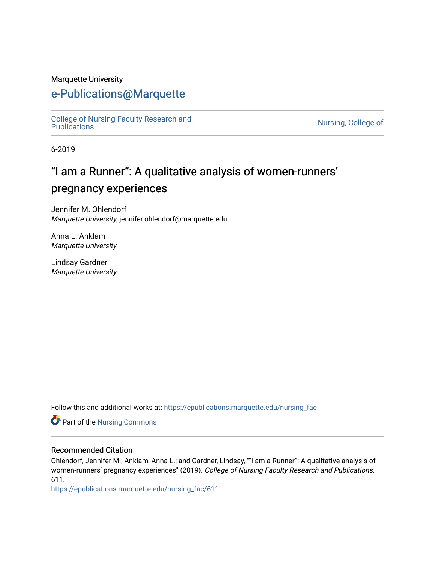#### Marquette University

## [e-Publications@Marquette](https://epublications.marquette.edu/)

[College of Nursing Faculty Research and](https://epublications.marquette.edu/nursing_fac)<br>Publications

Nursing, College of

6-2019

# "I am a Runner": A qualitative analysis of women-runners' pregnancy experiences

Jennifer M. Ohlendorf Marquette University, jennifer.ohlendorf@marquette.edu

Anna L. Anklam Marquette University

Lindsay Gardner Marquette University

Follow this and additional works at: [https://epublications.marquette.edu/nursing\\_fac](https://epublications.marquette.edu/nursing_fac?utm_source=epublications.marquette.edu%2Fnursing_fac%2F611&utm_medium=PDF&utm_campaign=PDFCoverPages)

**Part of the Nursing Commons** 

#### Recommended Citation

Ohlendorf, Jennifer M.; Anklam, Anna L.; and Gardner, Lindsay, ""I am a Runner": A qualitative analysis of women-runners' pregnancy experiences" (2019). College of Nursing Faculty Research and Publications. 611.

[https://epublications.marquette.edu/nursing\\_fac/611](https://epublications.marquette.edu/nursing_fac/611?utm_source=epublications.marquette.edu%2Fnursing_fac%2F611&utm_medium=PDF&utm_campaign=PDFCoverPages)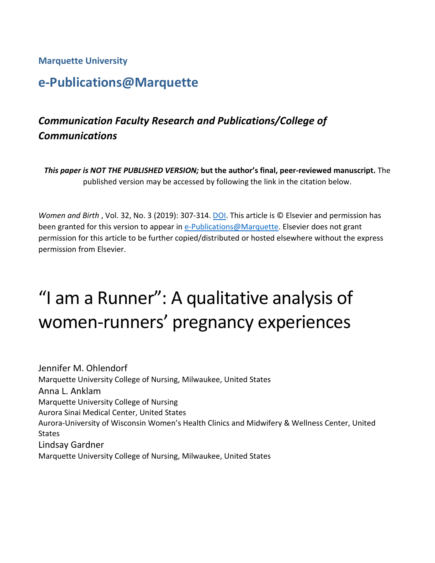**Marquette University**

# **e-Publications@Marquette**

# *Communication Faculty Research and Publications/College of Communications*

*This paper is NOT THE PUBLISHED VERSION;* **but the author's final, peer-reviewed manuscript.** The published version may be accessed by following the link in the citation below.

*Women and Birth* , Vol. 32, No. 3 (2019): 307-314[. DOI.](file://vs-fs2/ACAD/LIB/The%20Commons/Projects/IR/IR%20training%20documents/dx.doi.org/10.1016/j.acalib.2009.06.017) This article is © Elsevier and permission has been granted for this version to appear in [e-Publications@Marquette.](http://epublications.marquette.edu/) Elsevier does not grant permission for this article to be further copied/distributed or hosted elsewhere without the express permission from Elsevier.

# "I am a Runner": A qualitative analysis of women-runners' pregnancy experiences

Jennifer M. Ohlendorf Marquette University College of Nursing, Milwaukee, United States Anna L. Anklam Marquette University College of Nursing Aurora Sinai Medical Center, United States Aurora-University of Wisconsin Women's Health Clinics and Midwifery & Wellness Center, United **States** Lindsay Gardner Marquette University College of Nursing, Milwaukee, United States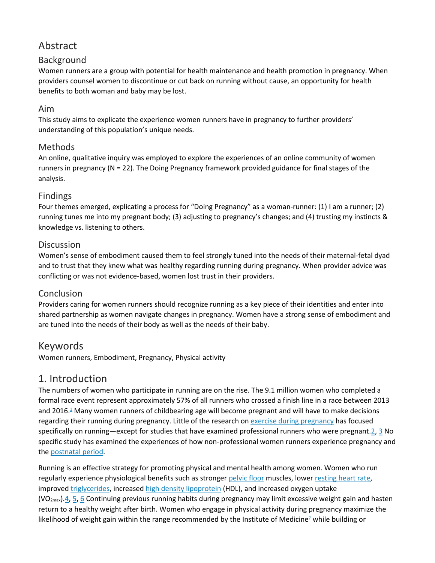## Abstract

## Background

Women runners are a group with potential for health maintenance and health promotion in pregnancy. When providers counsel women to discontinue or cut back on running without cause, an opportunity for health benefits to both woman and baby may be lost.

## Aim

This study aims to explicate the experience women runners have in pregnancy to further providers' understanding of this population's unique needs.

## Methods

An online, qualitative inquiry was employed to explore the experiences of an online community of women runners in pregnancy (N = 22). The Doing Pregnancy framework provided guidance for final stages of the analysis.

## Findings

Four themes emerged, explicating a process for "Doing Pregnancy" as a woman-runner: (1) I am a runner; (2) running tunes me into my pregnant body; (3) adjusting to pregnancy's changes; and (4) trusting my instincts & knowledge vs. listening to others.

## **Discussion**

Women's sense of embodiment caused them to feel strongly tuned into the needs of their maternal-fetal dyad and to trust that they knew what was healthy regarding running during pregnancy. When provider advice was conflicting or was not evidence-based, women lost trust in their providers.

## Conclusion

Providers caring for women runners should recognize running as a key piece of their identities and enter into shared partnership as women navigate changes in pregnancy. Women have a strong sense of embodiment and are tuned into the needs of their body as well as the needs of their baby.

## Keywords

Women runners, Embodiment, Pregnancy, Physical activity

## 1. Introduction

The numbers of women who participate in running are on the rise. The 9.1 million women who completed a formal race event represent approximately 57% of all runners who crossed a finish line in a race between 2013 and 2016.<sup>1</sup> Many women runners of childbearing age will become pregnant and will have to make decisions regarding their running during pregnancy. Little of the research on [exercise during pregnancy](https://www.sciencedirect.com/topics/medicine-and-dentistry/exercise-during-pregnancy) has focused specifically on running—except for studies that have examined professional runners who were pregnant[.2,](https://www.sciencedirect.com/science/article/pii/S1871519218301276?via%3Dihub#bib0010) [3](https://www.sciencedirect.com/science/article/pii/S1871519218301276?via%3Dihub#bib0015) No specific study has examined the experiences of how non-professional women runners experience pregnancy and the [postnatal period.](https://www.sciencedirect.com/topics/medicine-and-dentistry/perinatal-period)

Running is an effective strategy for promoting physical and mental health among women. Women who run regularly experience physiological benefits such as stronger [pelvic floor](https://www.sciencedirect.com/topics/medicine-and-dentistry/pelvic-floor) muscles, lower [resting heart rate,](https://www.sciencedirect.com/topics/medicine-and-dentistry/resting-heart-rate) improved [triglycerides,](https://www.sciencedirect.com/topics/medicine-and-dentistry/triacylglycerol) increased [high density lipoprotein](https://www.sciencedirect.com/topics/nursing-and-health-professions/high-density-lipoprotein) (HDL), and increased oxygen uptake  $(VO<sub>2max</sub>)$ [.4,](https://www.sciencedirect.com/science/article/pii/S1871519218301276?via%3Dihub#bib0020) [5,](https://www.sciencedirect.com/science/article/pii/S1871519218301276?via%3Dihub#bib0025) [6](https://www.sciencedirect.com/science/article/pii/S1871519218301276?via%3Dihub#bib0030) Continuing previous running habits during pregnancy may limit excessive weight gain and hasten return to a healthy weight after birth. Women who engage in physical activity during pregnancy maximize the likelihood of weight gain within the range recommended by the Institute of Medicine<sup>7</sup> while building or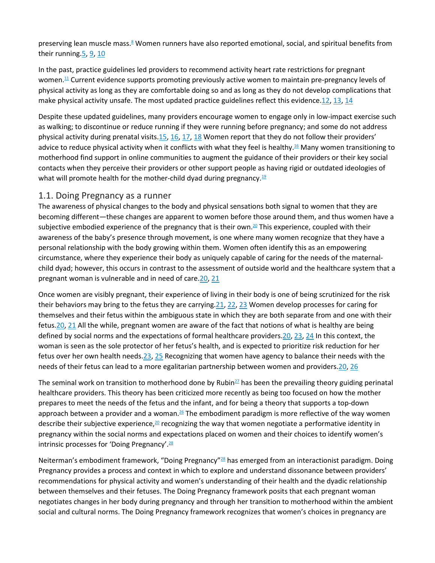preserving lean muscle mass[.8](https://www.sciencedirect.com/science/article/pii/S1871519218301276?via%3Dihub#bib0040) Women runners have also reported emotional, social, and spiritual benefits from their running[.5,](https://www.sciencedirect.com/science/article/pii/S1871519218301276?via%3Dihub#bib0025) [9,](https://www.sciencedirect.com/science/article/pii/S1871519218301276?via%3Dihub#bib0045) [10](https://www.sciencedirect.com/science/article/pii/S1871519218301276?via%3Dihub#bib0050)

In the past, practice guidelines led providers to recommend activity heart rate restrictions for pregnant women.<sup>11</sup> Current evidence supports promoting previously active women to maintain pre-pregnancy levels of physical activity as long as they are comfortable doing so and as long as they do not develop complications that make physical activity unsafe. The most updated practice guidelines reflect this evidence. 12, [13,](https://www.sciencedirect.com/science/article/pii/S1871519218301276?via%3Dihub#bib0065) [14](https://www.sciencedirect.com/science/article/pii/S1871519218301276?via%3Dihub#bib0070)

Despite these updated guidelines, many providers encourage women to engage only in low-impact exercise such as walking; to discontinue or reduce running if they were running before pregnancy; and some do not address physical activity during prenatal visits[.15,](https://www.sciencedirect.com/science/article/pii/S1871519218301276?via%3Dihub#bib0075) [16,](https://www.sciencedirect.com/science/article/pii/S1871519218301276?via%3Dihub#bib0080) [17,](https://www.sciencedirect.com/science/article/pii/S1871519218301276?via%3Dihub#bib0085) [18](https://www.sciencedirect.com/science/article/pii/S1871519218301276?via%3Dihub#bib0090) Women report that they do not follow their providers' advice to reduce physical activity when it conflicts with what they feel is healthy[.16](https://www.sciencedirect.com/science/article/pii/S1871519218301276?via%3Dihub#bib0080) Many women transitioning to motherhood find support in online communities to augment the guidance of their providers or their key social contacts when they perceive their providers or other support people as having rigid or outdated ideologies of what will promote health for the mother-child dyad during pregnancy. $19$ 

#### 1.1. Doing Pregnancy as a runner

The awareness of physical changes to the body and physical sensations both signal to women that they are becoming different—these changes are apparent to women before those around them, and thus women have a subjective embodied experience of the pregnancy that is their own.<sup>20</sup> This experience, coupled with their awareness of the baby's presence through movement, is one where many women recognize that they have a personal relationship with the body growing within them. Women often identify this as an empowering circumstance, where they experience their body as uniquely capable of caring for the needs of the maternalchild dyad; however, this occurs in contrast to the assessment of outside world and the healthcare system that a pregnant woman is vulnerable and in need of care[.20,](https://www.sciencedirect.com/science/article/pii/S1871519218301276?via%3Dihub#bib0100) [21](https://www.sciencedirect.com/science/article/pii/S1871519218301276?via%3Dihub#bib0105)

Once women are visibly pregnant, their experience of living in their body is one of being scrutinized for the risk their behaviors may bring to the fetus they are carrying. 21, [22,](https://www.sciencedirect.com/science/article/pii/S1871519218301276?via%3Dihub#bib0110) [23](https://www.sciencedirect.com/science/article/pii/S1871519218301276?via%3Dihub#bib0115) Women develop processes for caring for themselves and their fetus within the ambiguous state in which they are both separate from and one with their fetus[.20,](https://www.sciencedirect.com/science/article/pii/S1871519218301276?via%3Dihub#bib0100) [21](https://www.sciencedirect.com/science/article/pii/S1871519218301276?via%3Dihub#bib0105) All the while, pregnant women are aware of the fact that notions of what is healthy are being defined by social norms and the expectations of formal healthcare providers[.20,](https://www.sciencedirect.com/science/article/pii/S1871519218301276?via%3Dihub#bib0100) [23,](https://www.sciencedirect.com/science/article/pii/S1871519218301276?via%3Dihub#bib0115) [24](https://www.sciencedirect.com/science/article/pii/S1871519218301276?via%3Dihub#bib0120) In this context, the woman is seen as the sole protector of her fetus's health, and is expected to prioritize risk reduction for her fetus over her own health need[s.23,](https://www.sciencedirect.com/science/article/pii/S1871519218301276?via%3Dihub#bib0115) [25](https://www.sciencedirect.com/science/article/pii/S1871519218301276?via%3Dihub#bib0125) Recognizing that women have agency to balance their needs with the needs of their fetus can lead to a more egalitarian partnership between women and providers[.20,](https://www.sciencedirect.com/science/article/pii/S1871519218301276?via%3Dihub#bib0100) [26](https://www.sciencedirect.com/science/article/pii/S1871519218301276?via%3Dihub#bib0130)

The seminal work on transition to motherhood done by Rubin<sup>27</sup> has been the prevailing theory guiding perinatal healthcare providers. This theory has been criticized more recently as being too focused on how the mother prepares to meet the needs of the fetus and the infant, and for being a theory that supports a top-down approach between a provider and a woman.<sup>26</sup> The embodiment paradigm is more reflective of the way women describe their subjective experience, $20$  recognizing the way that women negotiate a performative identity in pregnancy within the social norms and expectations placed on women and their choices to identify women's intrinsic processes for 'Doing Pregnancy'.<sup>28</sup>

Neiterman's embodiment framework, "Doing Pregnancy"<sup>28</sup> has emerged from an interactionist paradigm. Doing Pregnancy provides a process and context in which to explore and understand dissonance between providers' recommendations for physical activity and women's understanding of their health and the dyadic relationship between themselves and their fetuses. The Doing Pregnancy framework posits that each pregnant woman negotiates changes in her body during pregnancy and through her transition to motherhood within the ambient social and cultural norms. The Doing Pregnancy framework recognizes that women's choices in pregnancy are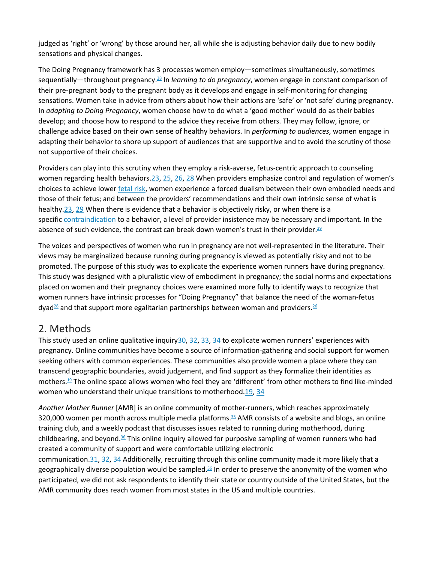judged as 'right' or 'wrong' by those around her, all while she is adjusting behavior daily due to new bodily sensations and physical changes.

The Doing Pregnancy framework has 3 processes women employ—sometimes simultaneously, sometimes sequentially—throughout pregnancy[.28](https://www.sciencedirect.com/science/article/pii/S1871519218301276?via%3Dihub#bib0140) In *learning to do pregnancy*, women engage in constant comparison of their pre-pregnant body to the pregnant body as it develops and engage in self-monitoring for changing sensations. Women take in advice from others about how their actions are 'safe' or 'not safe' during pregnancy. In *adapting to Doing Pregnancy*, women choose how to do what a 'good mother' would do as their babies develop; and choose how to respond to the advice they receive from others. They may follow, ignore, or challenge advice based on their own sense of healthy behaviors. In *performing to audiences*, women engage in adapting their behavior to shore up support of audiences that are supportive and to avoid the scrutiny of those not supportive of their choices.

Providers can play into this scrutiny when they employ a risk-averse, fetus-centric approach to counseling women regarding health behaviors[.23,](https://www.sciencedirect.com/science/article/pii/S1871519218301276?via%3Dihub#bib0115) [25,](https://www.sciencedirect.com/science/article/pii/S1871519218301276?via%3Dihub#bib0125) [26,](https://www.sciencedirect.com/science/article/pii/S1871519218301276?via%3Dihub#bib0130) [28](https://www.sciencedirect.com/science/article/pii/S1871519218301276?via%3Dihub#bib0140) When providers emphasize control and regulation of women's choices to achieve lower [fetal risk,](https://www.sciencedirect.com/topics/medicine-and-dentistry/fetus-risk) women experience a forced dualism between their own embodied needs and those of their fetus; and between the providers' recommendations and their own intrinsic sense of what is healthy[.23,](https://www.sciencedirect.com/science/article/pii/S1871519218301276?via%3Dihub#bib0115) [29](https://www.sciencedirect.com/science/article/pii/S1871519218301276?via%3Dihub#bib0145) When there is evidence that a behavior is objectively risky, or when there is a specific [contraindication](https://www.sciencedirect.com/topics/medicine-and-dentistry/contraindication) to a behavior, a level of provider insistence may be necessary and important. In the absence of such evidence, the contrast can break down women's trust in their provider.<sup>29</sup>

The voices and perspectives of women who run in pregnancy are not well-represented in the literature. Their views may be marginalized because running during pregnancy is viewed as potentially risky and not to be promoted. The purpose of this study was to explicate the experience women runners have during pregnancy. This study was designed with a pluralistic view of embodiment in pregnancy; the social norms and expectations placed on women and their pregnancy choices were examined more fully to identify ways to recognize that women runners have intrinsic processes for "Doing Pregnancy" that balance the need of the woman-fetus  $dy$ and that support more egalitarian partnerships between woman and providers.<sup>26</sup>

## 2. Methods

This study used an online qualitative inquir[y30,](https://www.sciencedirect.com/science/article/pii/S1871519218301276?via%3Dihub#bib0150) [32,](https://www.sciencedirect.com/science/article/pii/S1871519218301276?via%3Dihub#bib0160) [33,](https://www.sciencedirect.com/science/article/pii/S1871519218301276?via%3Dihub#bib0165) [34](https://www.sciencedirect.com/science/article/pii/S1871519218301276?via%3Dihub#bib0170) to explicate women runners' experiences with pregnancy. Online communities have become a source of information-gathering and social support for women seeking others with common experiences. These communities also provide women a place where they can transcend geographic boundaries, avoid judgement, and find support as they formalize their identities as mothers[.19](https://www.sciencedirect.com/science/article/pii/S1871519218301276?via%3Dihub#bib0095) The online space allows women who feel they are 'different' from other mothers to find like-minded women who understand their unique transitions to motherhoo[d.19,](https://www.sciencedirect.com/science/article/pii/S1871519218301276?via%3Dihub#bib0095) [34](https://www.sciencedirect.com/science/article/pii/S1871519218301276?via%3Dihub#bib0170)

*Another Mother Runner* [AMR] is an online community of mother-runners, which reaches approximately 320,000 women per month across multiple media platforms[.35](https://www.sciencedirect.com/science/article/pii/S1871519218301276?via%3Dihub#bib0175) AMR consists of a website and blogs, an online training club, and a weekly podcast that discusses issues related to running during motherhood, during childbearing, and beyond[.36](https://www.sciencedirect.com/science/article/pii/S1871519218301276?via%3Dihub#bib0180) This online inquiry allowed for purposive sampling of women runners who had created a community of support and were comfortable utilizing electronic

communication[.31,](https://www.sciencedirect.com/science/article/pii/S1871519218301276?via%3Dihub#bib0155) [32,](https://www.sciencedirect.com/science/article/pii/S1871519218301276?via%3Dihub#bib0160) [34](https://www.sciencedirect.com/science/article/pii/S1871519218301276?via%3Dihub#bib0170) Additionally, recruiting through this online community made it more likely that a geographically diverse population would be sampled[.36](https://www.sciencedirect.com/science/article/pii/S1871519218301276?via%3Dihub#bib0180) In order to preserve the anonymity of the women who participated, we did not ask respondents to identify their state or country outside of the United States, but the AMR community does reach women from most states in the US and multiple countries.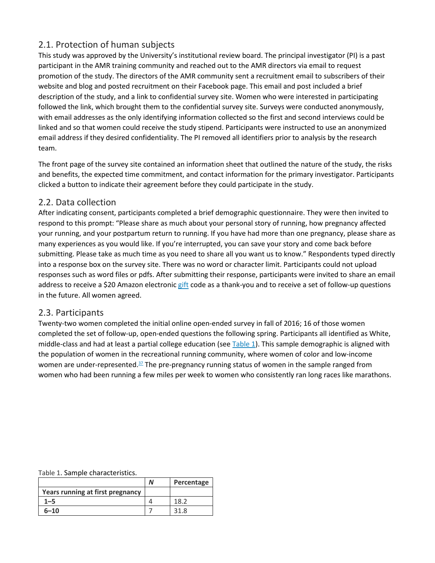## 2.1. Protection of human subjects

This study was approved by the University's institutional review board. The principal investigator (PI) is a past participant in the AMR training community and reached out to the AMR directors via email to request promotion of the study. The directors of the AMR community sent a recruitment email to subscribers of their website and blog and posted recruitment on their Facebook page. This email and post included a brief description of the study, and a link to confidential survey site. Women who were interested in participating followed the link, which brought them to the confidential survey site. Surveys were conducted anonymously, with email addresses as the only identifying information collected so the first and second interviews could be linked and so that women could receive the study stipend. Participants were instructed to use an anonymized email address if they desired confidentiality. The PI removed all identifiers prior to analysis by the research team.

The front page of the survey site contained an information sheet that outlined the nature of the study, the risks and benefits, the expected time commitment, and contact information for the primary investigator. Participants clicked a button to indicate their agreement before they could participate in the study.

## 2.2. Data collection

After indicating consent, participants completed a brief demographic questionnaire. They were then invited to respond to this prompt: "Please share as much about your personal story of running, how pregnancy affected your running, and your postpartum return to running. If you have had more than one pregnancy, please share as many experiences as you would like. If you're interrupted, you can save your story and come back before submitting. Please take as much time as you need to share all you want us to know." Respondents typed directly into a response box on the survey site. There was no word or character limit. Participants could not upload responses such as word files or pdfs. After submitting their response, participants were invited to share an email address to receive a \$20 Amazon electronic [gift](https://www.sciencedirect.com/topics/medicine-and-dentistry/gamete-intrafallopian-transfer) code as a thank-you and to receive a set of follow-up questions in the future. All women agreed.

## 2.3. Participants

Twenty-two women completed the initial online open-ended survey in fall of 2016; 16 of those women completed the set of follow-up, open-ended questions the following spring. Participants all identified as White, middle-class and had at least a partial college education (see  $Table 1$ ). This sample demographic is aligned with the population of women in the recreational running community, where women of color and low-income women are under-represented. $37$  The pre-pregnancy running status of women in the sample ranged from women who had been running a few miles per week to women who consistently ran long races like marathons.

Table 1. Sample characteristics.

|                                  | Ν | Percentage |
|----------------------------------|---|------------|
| Years running at first pregnancy |   |            |
| $1 - 5$                          |   | 18.2       |
| 6–10                             |   | 31.8       |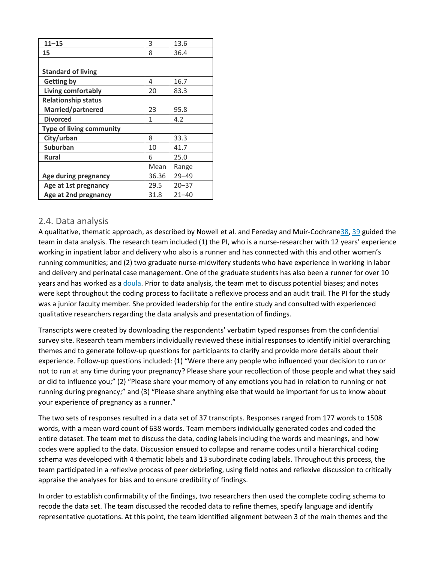| $11 - 15$                  | 3     | 13.6      |
|----------------------------|-------|-----------|
| 15                         | 8     | 36.4      |
|                            |       |           |
| <b>Standard of living</b>  |       |           |
| <b>Getting by</b>          | 4     | 16.7      |
| Living comfortably         | 20    | 83.3      |
| <b>Relationship status</b> |       |           |
| <b>Married/partnered</b>   | 23    | 95.8      |
| <b>Divorced</b>            | 1     | 4.2       |
| Type of living community   |       |           |
| City/urban                 | 8     | 33.3      |
| Suburban                   | 10    | 41.7      |
| Rural                      | 6     | 25.0      |
|                            | Mean  | Range     |
| Age during pregnancy       | 36.36 | $29 - 49$ |
| Age at 1st pregnancy       | 29.5  | $20 - 37$ |
| Age at 2nd pregnancy       | 31.8  | $21 - 40$ |

## 2.4. Data analysis

A qualitative, thematic approach, as described by Nowell et al. and Fereday and Muir-Cochran[e38,](https://www.sciencedirect.com/science/article/pii/S1871519218301276?via%3Dihub#bib0190) [39](https://www.sciencedirect.com/science/article/pii/S1871519218301276?via%3Dihub#bib0195) guided the team in data analysis. The research team included (1) the PI, who is a nurse-researcher with 12 years' experience working in inpatient labor and delivery who also is a runner and has connected with this and other women's running communities; and (2) two graduate nurse-midwifery students who have experience in working in labor and delivery and perinatal case management. One of the graduate students has also been a runner for over 10 years and has worked as a [doula.](https://www.sciencedirect.com/topics/medicine-and-dentistry/doula) Prior to data analysis, the team met to discuss potential biases; and notes were kept throughout the coding process to facilitate a reflexive process and an audit trail. The PI for the study was a junior faculty member. She provided leadership for the entire study and consulted with experienced qualitative researchers regarding the data analysis and presentation of findings.

Transcripts were created by downloading the respondents' verbatim typed responses from the confidential survey site. Research team members individually reviewed these initial responses to identify initial overarching themes and to generate follow-up questions for participants to clarify and provide more details about their experience. Follow-up questions included: (1) "Were there any people who influenced your decision to run or not to run at any time during your pregnancy? Please share your recollection of those people and what they said or did to influence you;" (2) "Please share your memory of any emotions you had in relation to running or not running during pregnancy;" and (3) "Please share anything else that would be important for us to know about your experience of pregnancy as a runner."

The two sets of responses resulted in a data set of 37 transcripts. Responses ranged from 177 words to 1508 words, with a mean word count of 638 words. Team members individually generated codes and coded the entire dataset. The team met to discuss the data, coding labels including the words and meanings, and how codes were applied to the data. Discussion ensued to collapse and rename codes until a hierarchical coding schema was developed with 4 thematic labels and 13 subordinate coding labels. Throughout this process, the team participated in a reflexive process of peer debriefing, using field notes and reflexive discussion to critically appraise the analyses for bias and to ensure credibility of findings.

In order to establish confirmability of the findings, two researchers then used the complete coding schema to recode the data set. The team discussed the recoded data to refine themes, specify language and identify representative quotations. At this point, the team identified alignment between 3 of the main themes and the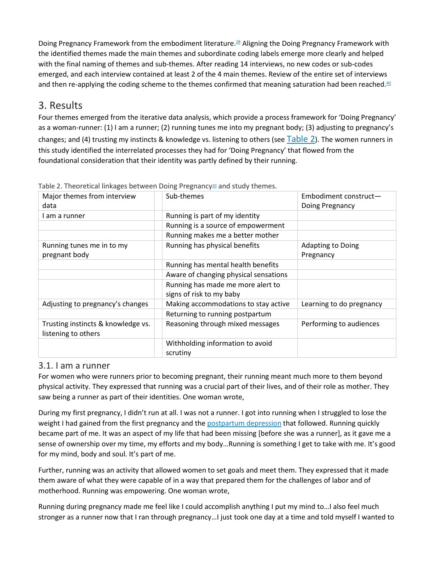Doing Pregnancy Framework from the embodiment literature.<sup>28</sup> Aligning the Doing Pregnancy Framework with the identified themes made the main themes and subordinate coding labels emerge more clearly and helped with the final naming of themes and sub-themes. After reading 14 interviews, no new codes or sub-codes emerged, and each interview contained at least 2 of the 4 main themes. Review of the entire set of interviews and then re-applying the coding scheme to the themes confirmed that meaning saturation had been reached.<sup>40</sup>

## 3. Results

Four themes emerged from the iterative data analysis, which provide a process framework for 'Doing Pregnancy' as a woman-runner: (1) I am a runner; (2) running tunes me into my pregnant body; (3) adjusting to pregnancy's changes; and (4) trusting my instincts & knowledge vs. listening to others (see [Table 2\)](https://www.sciencedirect.com/science/article/pii/S1871519218301276?via%3Dihub#tbl0010). The women runners in this study identified the interrelated processes they had for 'Doing Pregnancy' that flowed from the foundational consideration that their identity was partly defined by their running.

| Major themes from interview        | Sub-themes                            | Embodiment construct-    |
|------------------------------------|---------------------------------------|--------------------------|
| data                               |                                       | Doing Pregnancy          |
| am a runner                        | Running is part of my identity        |                          |
|                                    | Running is a source of empowerment    |                          |
|                                    | Running makes me a better mother      |                          |
| Running tunes me in to my          | Running has physical benefits         | Adapting to Doing        |
| pregnant body                      |                                       | Pregnancy                |
|                                    | Running has mental health benefits    |                          |
|                                    | Aware of changing physical sensations |                          |
|                                    | Running has made me more alert to     |                          |
|                                    | signs of risk to my baby              |                          |
| Adjusting to pregnancy's changes   | Making accommodations to stay active  | Learning to do pregnancy |
|                                    | Returning to running postpartum       |                          |
| Trusting instincts & knowledge vs. | Reasoning through mixed messages      | Performing to audiences  |
| listening to others                |                                       |                          |
|                                    | Withholding information to avoid      |                          |
|                                    | scrutiny                              |                          |

Table 2. Theoretical linkages between Doing Pregnancy<sup>20</sup> and study themes.

## 3.1. I am a runner

For women who were runners prior to becoming pregnant, their running meant much more to them beyond physical activity. They expressed that running was a crucial part of their lives, and of their role as mother. They saw being a runner as part of their identities. One woman wrote,

During my first pregnancy, I didn't run at all. I was not a runner. I got into running when I struggled to lose the weight I had gained from the first pregnancy and the [postpartum depression](https://www.sciencedirect.com/topics/medicine-and-dentistry/postpartum-depression) that followed. Running quickly became part of me. It was an aspect of my life that had been missing [before she was a runner], as it gave me a sense of ownership over my time, my efforts and my body…Running is something I get to take with me. It's good for my mind, body and soul. It's part of me.

Further, running was an activity that allowed women to set goals and meet them. They expressed that it made them aware of what they were capable of in a way that prepared them for the challenges of labor and of motherhood. Running was empowering. One woman wrote,

Running during pregnancy made me feel like I could accomplish anything I put my mind to…I also feel much stronger as a runner now that I ran through pregnancy…I just took one day at a time and told myself I wanted to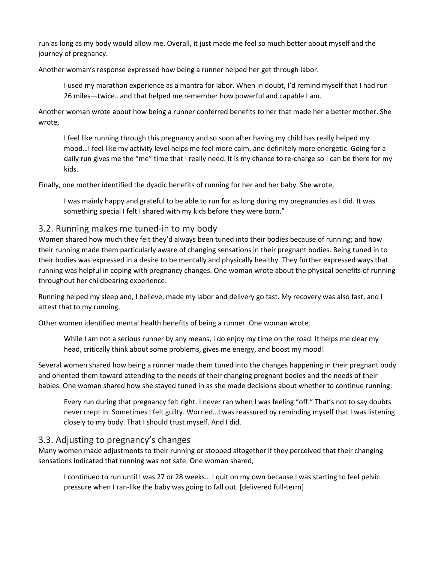run as long as my body would allow me. Overall, it just made me feel so much better about myself and the journey of pregnancy.

Another woman's response expressed how being a runner helped her get through labor.

I used my marathon experience as a mantra for labor. When in doubt, I'd remind myself that I had run 26 miles—twice…and that helped me remember how powerful and capable I am.

Another woman wrote about how being a runner conferred benefits to her that made her a better mother. She wrote,

I feel like running through this pregnancy and so soon after having my child has really helped my mood…I feel like my activity level helps me feel more calm, and definitely more energetic. Going for a daily run gives me the "me" time that I really need. It is my chance to re-charge so I can be there for my kids.

Finally, one mother identified the dyadic benefits of running for her and her baby. She wrote,

I was mainly happy and grateful to be able to run for as long during my pregnancies as I did. It was something special I felt I shared with my kids before they were born."

#### 3.2. Running makes me tuned-in to my body

Women shared how much they felt they'd always been tuned into their bodies because of running; and how their running made them particularly aware of changing sensations in their pregnant bodies. Being tuned in to their bodies was expressed in a desire to be mentally and physically healthy. They further expressed ways that running was helpful in coping with pregnancy changes. One woman wrote about the physical benefits of running throughout her childbearing experience:

Running helped my sleep and, I believe, made my labor and delivery go fast. My recovery was also fast, and I attest that to my running.

Other women identified mental health benefits of being a runner. One woman wrote,

While I am not a serious runner by any means, I do enjoy my time on the road. It helps me clear my head, critically think about some problems, gives me energy, and boost my mood!

Several women shared how being a runner made them tuned into the changes happening in their pregnant body and oriented them toward attending to the needs of their changing pregnant bodies and the needs of their babies. One woman shared how she stayed tuned in as she made decisions about whether to continue running:

Every run during that pregnancy felt right. I never ran when I was feeling "off." That's not to say doubts never crept in. Sometimes I felt guilty. Worried…I was reassured by reminding myself that I was listening closely to my body. That I should trust myself. And I did.

#### 3.3. Adjusting to pregnancy's changes

Many women made adjustments to their running or stopped altogether if they perceived that their changing sensations indicated that running was not safe. One woman shared,

I continued to run until I was 27 or 28 weeks… I quit on my own because I was starting to feel pelvic pressure when I ran-like the baby was going to fall out. [delivered full-term]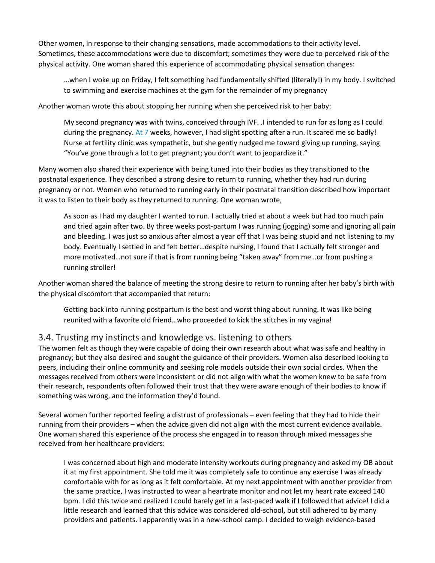Other women, in response to their changing sensations, made accommodations to their activity level. Sometimes, these accommodations were due to discomfort; sometimes they were due to perceived risk of the physical activity. One woman shared this experience of accommodating physical sensation changes:

…when I woke up on Friday, I felt something had fundamentally shifted (literally!) in my body. I switched to swimming and exercise machines at the gym for the remainder of my pregnancy

Another woman wrote this about stopping her running when she perceived risk to her baby:

My second pregnancy was with twins, conceived through IVF. .I intended to run for as long as I could during the pregnancy.  $At 7$  weeks, however, I had slight spotting after a run. It scared me so badly! Nurse at fertility clinic was sympathetic, but she gently nudged me toward giving up running, saying "You've gone through a lot to get pregnant; you don't want to jeopardize it."

Many women also shared their experience with being tuned into their bodies as they transitioned to the postnatal experience. They described a strong desire to return to running, whether they had run during pregnancy or not. Women who returned to running early in their postnatal transition described how important it was to listen to their body as they returned to running. One woman wrote,

As soon as I had my daughter I wanted to run. I actually tried at about a week but had too much pain and tried again after two. By three weeks post-partum I was running (jogging) some and ignoring all pain and bleeding. I was just so anxious after almost a year off that I was being stupid and not listening to my body. Eventually I settled in and felt better…despite nursing, I found that I actually felt stronger and more motivated…not sure if that is from running being "taken away" from me…or from pushing a running stroller!

Another woman shared the balance of meeting the strong desire to return to running after her baby's birth with the physical discomfort that accompanied that return:

Getting back into running postpartum is the best and worst thing about running. It was like being reunited with a favorite old friend…who proceeded to kick the stitches in my vagina!

#### 3.4. Trusting my instincts and knowledge vs. listening to others

The women felt as though they were capable of doing their own research about what was safe and healthy in pregnancy; but they also desired and sought the guidance of their providers. Women also described looking to peers, including their online community and seeking role models outside their own social circles. When the messages received from others were inconsistent or did not align with what the women knew to be safe from their research, respondents often followed their trust that they were aware enough of their bodies to know if something was wrong, and the information they'd found.

Several women further reported feeling a distrust of professionals – even feeling that they had to hide their running from their providers – when the advice given did not align with the most current evidence available. One woman shared this experience of the process she engaged in to reason through mixed messages she received from her healthcare providers:

I was concerned about high and moderate intensity workouts during pregnancy and asked my OB about it at my first appointment. She told me it was completely safe to continue any exercise I was already comfortable with for as long as it felt comfortable. At my next appointment with another provider from the same practice, I was instructed to wear a heartrate monitor and not let my heart rate exceed 140 bpm. I did this twice and realized I could barely get in a fast-paced walk if I followed that advice! I did a little research and learned that this advice was considered old-school, but still adhered to by many providers and patients. I apparently was in a new-school camp. I decided to weigh evidence-based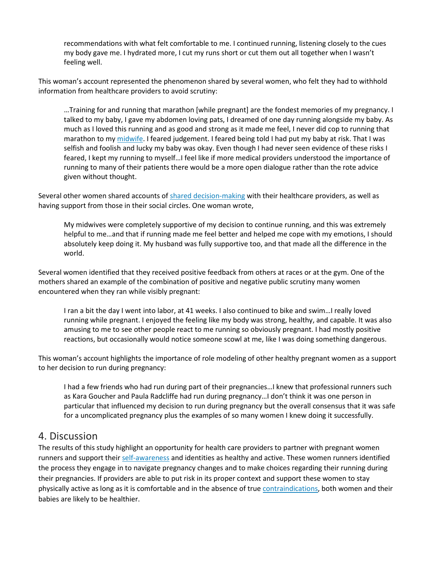recommendations with what felt comfortable to me. I continued running, listening closely to the cues my body gave me. I hydrated more, I cut my runs short or cut them out all together when I wasn't feeling well.

This woman's account represented the phenomenon shared by several women, who felt they had to withhold information from healthcare providers to avoid scrutiny:

…Training for and running that marathon [while pregnant] are the fondest memories of my pregnancy. I talked to my baby, I gave my abdomen loving pats, I dreamed of one day running alongside my baby. As much as I loved this running and as good and strong as it made me feel, I never did cop to running that marathon to my [midwife.](https://www.sciencedirect.com/topics/nursing-and-health-professions/midwife) I feared judgement. I feared being told I had put my baby at risk. That I was selfish and foolish and lucky my baby was okay. Even though I had never seen evidence of these risks I feared, I kept my running to myself…I feel like if more medical providers understood the importance of running to many of their patients there would be a more open dialogue rather than the rote advice given without thought.

Several other women shared accounts of [shared decision-making](https://www.sciencedirect.com/topics/medicine-and-dentistry/shared-decision-making) with their healthcare providers, as well as having support from those in their social circles. One woman wrote,

My midwives were completely supportive of my decision to continue running, and this was extremely helpful to me…and that if running made me feel better and helped me cope with my emotions, I should absolutely keep doing it. My husband was fully supportive too, and that made all the difference in the world.

Several women identified that they received positive feedback from others at races or at the gym. One of the mothers shared an example of the combination of positive and negative public scrutiny many women encountered when they ran while visibly pregnant:

I ran a bit the day I went into labor, at 41 weeks. I also continued to bike and swim…I really loved running while pregnant. I enjoyed the feeling like my body was strong, healthy, and capable. It was also amusing to me to see other people react to me running so obviously pregnant. I had mostly positive reactions, but occasionally would notice someone scowl at me, like I was doing something dangerous.

This woman's account highlights the importance of role modeling of other healthy pregnant women as a support to her decision to run during pregnancy:

I had a few friends who had run during part of their pregnancies…I knew that professional runners such as Kara Goucher and Paula Radcliffe had run during pregnancy…I don't think it was one person in particular that influenced my decision to run during pregnancy but the overall consensus that it was safe for a uncomplicated pregnancy plus the examples of so many women I knew doing it successfully.

#### 4. Discussion

The results of this study highlight an opportunity for health care providers to partner with pregnant women runners and support their [self-awareness](https://www.sciencedirect.com/topics/nursing-and-health-professions/self-awareness) and identities as healthy and active. These women runners identified the process they engage in to navigate pregnancy changes and to make choices regarding their running during their pregnancies. If providers are able to put risk in its proper context and support these women to stay physically active as long as it is comfortable and in the absence of true [contraindications,](https://www.sciencedirect.com/topics/medicine-and-dentistry/contraindication) both women and their babies are likely to be healthier.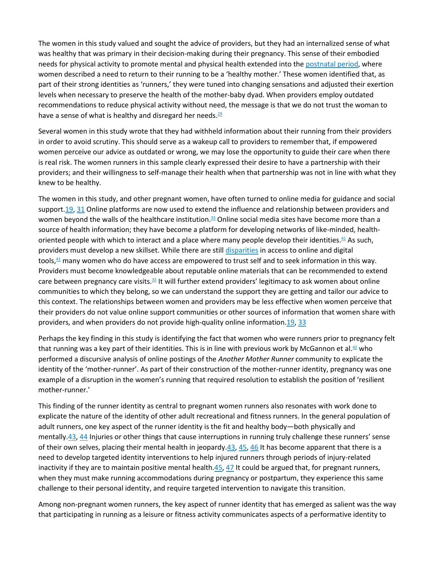The women in this study valued and sought the advice of providers, but they had an internalized sense of what was healthy that was primary in their decision-making during their pregnancy. This sense of their embodied needs for physical activity to promote mental and physical health extended into the [postnatal period,](https://www.sciencedirect.com/topics/medicine-and-dentistry/perinatal-period) where women described a need to return to their running to be a 'healthy mother.' These women identified that, as part of their strong identities as 'runners,' they were tuned into changing sensations and adjusted their exertion levels when necessary to preserve the health of the mother-baby dyad. When providers employ outdated recommendations to reduce physical activity without need, the message is that we do not trust the woman to have a sense of what is healthy and disregard her needs. $29$ 

Several women in this study wrote that they had withheld information about their running from their providers in order to avoid scrutiny. This should serve as a wakeup call to providers to remember that, if empowered women perceive our advice as outdated or wrong, we may lose the opportunity to guide their care when there is real risk. The women runners in this sample clearly expressed their desire to have a partnership with their providers; and their willingness to self-manage their health when that partnership was not in line with what they knew to be healthy.

The women in this study, and other pregnant women, have often turned to online media for guidance and social suppor[t.19,](https://www.sciencedirect.com/science/article/pii/S1871519218301276?via%3Dihub#bib0095) [31](https://www.sciencedirect.com/science/article/pii/S1871519218301276?via%3Dihub#bib0155) Online platforms are now used to extend the influence and relationship between providers and women beyond the walls of the healthcare institution. $33$  Online social media sites have become more than a source of health information; they have become a platform for developing networks of like-minded, healthoriented people with which to interact and a place where many people develop their identities.<sup>41</sup> As such, providers must develop a new skillset. While there are still [disparities](https://www.sciencedirect.com/topics/medicine-and-dentistry/disparities) in access to online and digital tools, $41$  many women who do have access are empowered to trust self and to seek information in this way. Providers must become knowledgeable about reputable online materials that can be recommended to extend care between pregnancy care visits. $33$  It will further extend providers' legitimacy to ask women about online communities to which they belong, so we can understand the support they are getting and tailor our advice to this context. The relationships between women and providers may be less effective when women perceive that their providers do not value online support communities or other sources of information that women share with providers, and when providers do not provide high-quality online information[.19,](https://www.sciencedirect.com/science/article/pii/S1871519218301276?via%3Dihub#bib0095) [33](https://www.sciencedirect.com/science/article/pii/S1871519218301276?via%3Dihub#bib0165)

Perhaps the key finding in this study is identifying the fact that women who were runners prior to pregnancy felt that running was a key part of their identities. This is in line with previous work by McGannon et al.<sup>42</sup> who performed a discursive analysis of online postings of the *Another Mother Runner* community to explicate the identity of the 'mother-runner'. As part of their construction of the mother-runner identity, pregnancy was one example of a disruption in the women's running that required resolution to establish the position of 'resilient mother-runner.'

This finding of the runner identity as central to pregnant women runners also resonates with work done to explicate the nature of the identity of other adult recreational and fitness runners. In the general population of adult runners, one key aspect of the runner identity is the fit and healthy body—both physically and mentally[.43,](https://www.sciencedirect.com/science/article/pii/S1871519218301276?via%3Dihub#bib0215) [44](https://www.sciencedirect.com/science/article/pii/S1871519218301276?via%3Dihub#bib0220) Injuries or other things that cause interruptions in running truly challenge these runners' sense of their own selves, placing their mental health in jeopardy[.43,](https://www.sciencedirect.com/science/article/pii/S1871519218301276?via%3Dihub#bib0215) [45,](https://www.sciencedirect.com/science/article/pii/S1871519218301276?via%3Dihub#bib0225) [46](https://www.sciencedirect.com/science/article/pii/S1871519218301276?via%3Dihub#bib0230) It has become apparent that there is a need to develop targeted identity interventions to help injured runners through periods of injury-related inactivity if they are to maintain positive mental health[.45,](https://www.sciencedirect.com/science/article/pii/S1871519218301276?via%3Dihub#bib0225) [47](https://www.sciencedirect.com/science/article/pii/S1871519218301276?via%3Dihub#bib0235) It could be argued that, for pregnant runners, when they must make running accommodations during pregnancy or postpartum, they experience this same challenge to their personal identity, and require targeted intervention to navigate this transition.

Among non-pregnant women runners, the key aspect of runner identity that has emerged as salient was the way that participating in running as a leisure or fitness activity communicates aspects of a performative identity to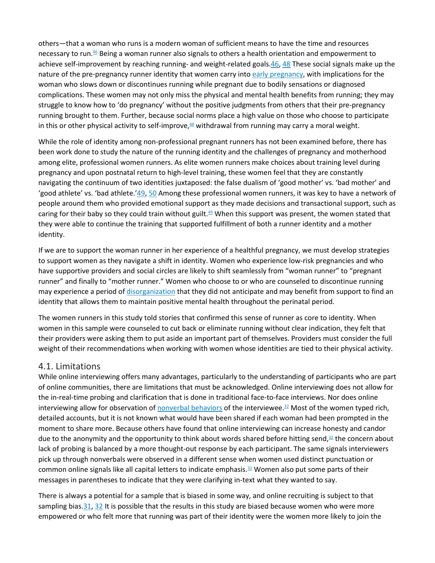others—that a woman who runs is a modern woman of sufficient means to have the time and resources necessary to run. $46$  Being a woman runner also signals to others a health orientation and empowerment to achieve self-improvement by reaching running- and weight-related goals[.46,](https://www.sciencedirect.com/science/article/pii/S1871519218301276?via%3Dihub#bib0230) [48](https://www.sciencedirect.com/science/article/pii/S1871519218301276?via%3Dihub#bib0240) These social signals make up the nature of the pre-pregnancy runner identity that women carry into [early pregnancy,](https://www.sciencedirect.com/topics/medicine-and-dentistry/first-trimester-pregnancy) with implications for the woman who slows down or discontinues running while pregnant due to bodily sensations or diagnosed complications. These women may not only miss the physical and mental health benefits from running; they may struggle to know how to 'do pregnancy' without the positive judgments from others that their pre-pregnancy running brought to them. Further, because social norms place a high value on those who choose to participate in this or other physical activity to self-improve, $48$  withdrawal from running may carry a moral weight.

While the role of identity among non-professional pregnant runners has not been examined before, there has been work done to study the nature of the running identity and the challenges of pregnancy and motherhood among elite, professional women runners. As elite women runners make choices about training level during pregnancy and upon postnatal return to high-level training, these women feel that they are constantly navigating the continuum of two identities juxtaposed: the false dualism of 'good mother' vs. 'bad mother' and 'good athlete' vs. 'bad athlete.['49,](https://www.sciencedirect.com/science/article/pii/S1871519218301276?via%3Dihub#bib0245) [50](https://www.sciencedirect.com/science/article/pii/S1871519218301276?via%3Dihub#bib0250) Among these professional women runners, it was key to have a network of people around them who provided emotional support as they made decisions and transactional support, such as caring for their baby so they could train without guilt.<sup>49</sup> When this support was present, the women stated that they were able to continue the training that supported fulfillment of both a runner identity and a mother identity.

If we are to support the woman runner in her experience of a healthful pregnancy, we must develop strategies to support women as they navigate a shift in identity. Women who experience low-risk pregnancies and who have supportive providers and social circles are likely to shift seamlessly from "woman runner" to "pregnant runner" and finally to "mother runner." Women who choose to or who are counseled to discontinue running may experience a period of [disorganization](https://www.sciencedirect.com/topics/nursing-and-health-professions/disorientation) that they did not anticipate and may benefit from support to find an identity that allows them to maintain positive mental health throughout the perinatal period.

The women runners in this study told stories that confirmed this sense of runner as core to identity. When women in this sample were counseled to cut back or eliminate running without clear indication, they felt that their providers were asking them to put aside an important part of themselves. Providers must consider the full weight of their recommendations when working with women whose identities are tied to their physical activity.

#### 4.1. Limitations

While online interviewing offers many advantages, particularly to the understanding of participants who are part of online communities, there are limitations that must be acknowledged. Online interviewing does not allow for the in-real-time probing and clarification that is done in traditional face-to-face interviews. Nor does online interviewing allow for observation of [nonverbal behaviors](https://www.sciencedirect.com/topics/medicine-and-dentistry/nonverbal-communication) of the interviewee. $32$  Most of the women typed rich, detailed accounts, but it is not known what would have been shared if each woman had been prompted in the moment to share more. Because others have found that online interviewing can increase honesty and candor due to the anonymity and the opportunity to think about words shared before hitting send, $32$  the concern about lack of probing is balanced by a more thought-out response by each participant. The same signals interviewers pick up through nonverbals were observed in a different sense when women used distinct punctuation or common online signals like all capital letters to indicate emphasis. $32$  Women also put some parts of their messages in parentheses to indicate that they were clarifying in-text what they wanted to say.

There is always a potential for a sample that is biased in some way, and online recruiting is subject to that sampling bias[.31,](https://www.sciencedirect.com/science/article/pii/S1871519218301276?via%3Dihub#bib0155) [32](https://www.sciencedirect.com/science/article/pii/S1871519218301276?via%3Dihub#bib0160) It is possible that the results in this study are biased because women who were more empowered or who felt more that running was part of their identity were the women more likely to join the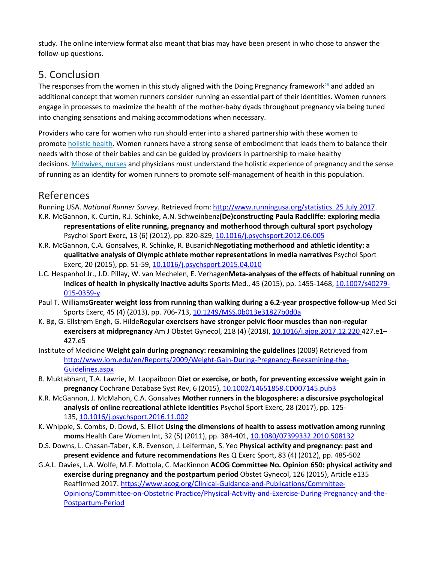study. The online interview format also meant that bias may have been present in who chose to answer the follow-up questions.

## 5. Conclusion

The responses from the women in this study aligned with the Doing Pregnancy framework<sup>28</sup> and added an additional concept that women runners consider running an essential part of their identities. Women runners engage in processes to maximize the health of the mother-baby dyads throughout pregnancy via being tuned into changing sensations and making accommodations when necessary.

Providers who care for women who run should enter into a shared partnership with these women to promote [holistic health.](https://www.sciencedirect.com/topics/medicine-and-dentistry/holistic-health) Women runners have a strong sense of embodiment that leads them to balance their needs with those of their babies and can be guided by providers in partnership to make healthy decisions. [Midwives, nurses](https://www.sciencedirect.com/topics/medicine-and-dentistry/nurse-midwife) and physicians must understand the holistic experience of pregnancy and the sense of running as an identity for women runners to promote self-management of health in this population.

## References

Running USA. *National Runner Survey*. Retrieved from: [http://www.runningusa.org/statistics. 25 July 2017.](http://www.runningusa.org/statistics.%2025%20July%202017)

- K.R. McGannon, K. Curtin, R.J. Schinke, A.N. Schweinbenz**(De)constructing Paula Radcliffe: exploring media representations of elite running, pregnancy and motherhood through cultural sport psychology** Psychol Sport Exerc, 13 (6) (2012), pp. 820-829, [10.1016/j.psychsport.2012.06.005](https://doi.org/10.1016/j.psychsport.2012.06.005)
- K.R. McGannon, C.A. Gonsalves, R. Schinke, R. Busanich**Negotiating motherhood and athletic identity: a qualitative analysis of Olympic athlete mother representations in media narratives** Psychol Sport Exerc, 20 (2015), pp. 51-59, [10.1016/j.psychsport.2015.04.010](https://doi.org/10.1016/j.psychsport.2015.04.010)
- L.C. Hespanhol Jr., J.D. Pillay, W. van Mechelen, E. Verhagen**Meta-analyses of the effects of habitual running on indices of health in physically inactive adults** Sports Med., 45 (2015), pp. 1455-1468, [10.1007/s40279-](https://doi.org/10.1007/s40279-015-0359-y) [015-0359-y](https://doi.org/10.1007/s40279-015-0359-y)
- Paul T. Williams**Greater weight loss from running than walking during a 6.2-year prospective follow-up** Med Sci Sports Exerc, 45 (4) (2013), pp. 706-713, [10.1249/MSS.0b013e31827b0d0a](https://doi.org/10.1249/MSS.0b013e31827b0d0a)
- K. Bø, G. Ellstrøm Engh, G. Hilde**Regular exercisers have stronger pelvic floor muscles than non-regular exercisers at midpregnancy** Am J Obstet Gynecol, 218 (4) (2018), [10.1016/j.ajog.2017.12.220](https://doi.org/10.1016/j.ajog.2017.12.220) 427.e1– 427.e5
- Institute of Medicine **Weight gain during pregnancy: reexamining the guidelines** (2009) Retrieved from [http://www.iom.edu/en/Reports/2009/Weight-Gain-During-Pregnancy-Reexamining-the-](http://www.iom.edu/en/Reports/2009/Weight-Gain-During-Pregnancy-Reexamining-the-Guidelines.aspx)[Guidelines.aspx](http://www.iom.edu/en/Reports/2009/Weight-Gain-During-Pregnancy-Reexamining-the-Guidelines.aspx)
- B. Muktabhant, T.A. Lawrie, M. Laopaiboon **Diet or exercise, or both, for preventing excessive weight gain in pregnancy** Cochrane Database Syst Rev, 6 (2015), [10.1002/14651858.CD007145.pub3](https://doi.org/10.1002/14651858.CD007145.pub3)
- K.R. McGannon, J. McMahon, C.A. Gonsalves **Mother runners in the blogosphere: a discursive psychological analysis of online recreational athlete identities** Psychol Sport Exerc, 28 (2017), pp. 125- 135, [10.1016/j.psychsport.2016.11.002](https://doi.org/10.1016/j.psychsport.2016.11.002)
- K. Whipple, S. Combs, D. Dowd, S. Elliot **Using the dimensions of health to assess motivation among running moms** Health Care Women Int, 32 (5) (2011), pp. 384-401, [10.1080/07399332.2010.508132](https://doi.org/10.1080/07399332.2010.508132)
- D.S. Downs, L. Chasan-Taber, K.R. Evenson, J. Leiferman, S. Yeo **Physical activity and pregnancy: past and present evidence and future recommendations** Res Q Exerc Sport, 83 (4) (2012), pp. 485-502
- G.A.L. Davies, L.A. Wolfe, M.F. Mottola, C. MacKinnon **ACOG Committee No. Opinion 650: physical activity and exercise during pregnancy and the postpartum period** Obstet Gynecol, 126 (2015), Article e135 Reaffirmed 2017. [https://www.acog.org/Clinical-Guidance-and-Publications/Committee-](https://www.acog.org/Clinical-Guidance-and-Publications/Committee-Opinions/Committee-on-Obstetric-Practice/Physical-Activity-and-Exercise-During-Pregnancy-and-the-Postpartum-Period)[Opinions/Committee-on-Obstetric-Practice/Physical-Activity-and-Exercise-During-Pregnancy-and-the-](https://www.acog.org/Clinical-Guidance-and-Publications/Committee-Opinions/Committee-on-Obstetric-Practice/Physical-Activity-and-Exercise-During-Pregnancy-and-the-Postpartum-Period)[Postpartum-Period](https://www.acog.org/Clinical-Guidance-and-Publications/Committee-Opinions/Committee-on-Obstetric-Practice/Physical-Activity-and-Exercise-During-Pregnancy-and-the-Postpartum-Period)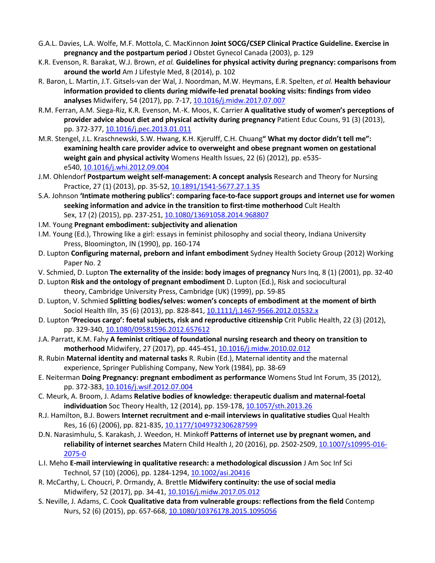- G.A.L. Davies, L.A. Wolfe, M.F. Mottola, C. MacKinnon **Joint SOCG/CSEP Clinical Practice Guideline. Exercise in pregnancy and the postpartum period** J Obstet Gynecol Canada (2003), p. 129
- K.R. Evenson, R. Barakat, W.J. Brown, *et al.* **Guidelines for physical activity during pregnancy: comparisons from around the world** Am J Lifestyle Med, 8 (2014), p. 102
- R. Baron, L. Martin, J.T. Gitsels-van der Wal, J. Noordman, M.W. Heymans, E.R. Spelten, *et al.* **Health behaviour information provided to clients during midwife-led prenatal booking visits: findings from video analyses** Midwifery, 54 (2017), pp. 7-17, [10.1016/j.midw.2017.07.007](https://doi.org/10.1016/j.midw.2017.07.007)
- R.M. Ferran, A.M. Siega-Riz, K.R. Evenson, M.-K. Moos, K. Carrier **A qualitative study of women's perceptions of provider advice about diet and physical activity during pregnancy** Patient Educ Couns, 91 (3) (2013), pp. 372-377, [10.1016/j.pec.2013.01.011](https://doi.org/10.1016/j.pec.2013.01.011)
- M.R. Stengel, J.L. Kraschnewski, S.W. Hwang, K.H. Kjerulff, C.H. Chuang**" What my doctor didn't tell me": examining health care provider advice to overweight and obese pregnant women on gestational weight gain and physical activity** Womens Health Issues, 22 (6) (2012), pp. e535 e540, [10.1016/j.whi.2012.09.004](https://doi.org/10.1016/j.whi.2012.09.004)
- J.M. Ohlendorf **Postpartum weight self-management: A concept analysis** Research and Theory for Nursing Practice, 27 (1) (2013), pp. 35-52, [10.1891/1541-5677.27.1.35](https://doi.org/10.1891/1541-5677.27.1.35)
- S.A. Johnson **'Intimate mothering publics': comparing face-to-face support groups and internet use for women seeking information and advice in the transition to first-time motherhood** Cult Health Sex, 17 (2) (2015), pp. 237-251, [10.1080/13691058.2014.968807](https://doi.org/10.1080/13691058.2014.968807)
- I.M. Young **Pregnant embodiment: subjectivity and alienation**
- I.M. Young (Ed.), Throwing like a girl: essays in feminist philosophy and social theory, Indiana University Press, Bloomington, IN (1990), pp. 160-174
- D. Lupton **Configuring maternal, preborn and infant embodiment** Sydney Health Society Group (2012) Working Paper No. 2
- V. Schmied, D. Lupton **The externality of the inside: body images of pregnancy** Nurs Inq, 8 (1) (2001), pp. 32-40
- D. Lupton **Risk and the ontology of pregnant embodiment** D. Lupton (Ed.), Risk and sociocultural theory, Cambridge University Press, Cambridge (UK) (1999), pp. 59-85
- D. Lupton, V. Schmied **Splitting bodies/selves: women's concepts of embodiment at the moment of birth** Sociol Health Illn, 35 (6) (2013), pp. 828-841, [10.1111/j.1467-9566.2012.01532.x](https://doi.org/10.1111/j.1467-9566.2012.01532.x)
- D. Lupton **'Precious cargo': foetal subjects, risk and reproductive citizenship** Crit Public Health, 22 (3) (2012), pp. 329-340, [10.1080/09581596.2012.657612](https://doi.org/10.1080/09581596.2012.657612)
- J.A. Parratt, K.M. Fahy **A feminist critique of foundational nursing research and theory on transition to motherhood** Midwifery, 27 (2017), pp. 445-451, [10.1016/j.midw.2010.02.012](https://doi.org/10.1016/j.midw.2010.02.012)
- R. Rubin **Maternal identity and maternal tasks** R. Rubin (Ed.), Maternal identity and the maternal experience, Springer Publishing Company, New York (1984), pp. 38-69
- E. Neiterman **Doing Pregnancy: pregnant embodiment as performance** Womens Stud Int Forum, 35 (2012), pp. 372-383, [10.1016/j.wsif.2012.07.004](https://doi.org/10.1016/j.wsif.2012.07.004)
- C. Meurk, A. Broom, J. Adams **Relative bodies of knowledge: therapeutic dualism and maternal-foetal individuation** Soc Theory Health, 12 (2014), pp. 159-178, [10.1057/sth.2013.26](https://doi.org/10.1057/sth.2013.26)
- R.J. Hamilton, B.J. Bowers **Internet recruitment and e-mail interviews in qualitative studies** Qual Health Res, 16 (6) (2006), pp. 821-835, [10.1177/1049732306287599](https://doi.org/10.1177/1049732306287599)
- D.N. Narasimhulu, S. Karakash, J. Weedon, H. Minkoff **Patterns of internet use by pregnant women, and reliability of internet searches** Matern Child Health J, 20 (2016), pp. 2502-2509, [10.1007/s10995-016-](https://doi.org/10.1007/s10995-016-2075-0) [2075-0](https://doi.org/10.1007/s10995-016-2075-0)
- L.I. Meho **E-mail interviewing in qualitative research: a methodological discussion** J Am Soc Inf Sci Technol, 57 (10) (2006), pp. 1284-1294, [10.1002/asi.20416](https://doi.org/10.1002/asi.20416)
- R. McCarthy, L. Choucri, P. Ormandy, A. Brettle **Midwifery continuity: the use of social media** Midwifery, 52 (2017), pp. 34-41, [10.1016/j.midw.2017.05.012](https://doi.org/10.1016/j.midw.2017.05.012)
- S. Neville, J. Adams, C. Cook **Qualitative data from vulnerable groups: reflections from the field** Contemp Nurs, 52 (6) (2015), pp. 657-668, [10.1080/10376178.2015.1095056](https://doi.org/10.1080/10376178.2015.1095056)